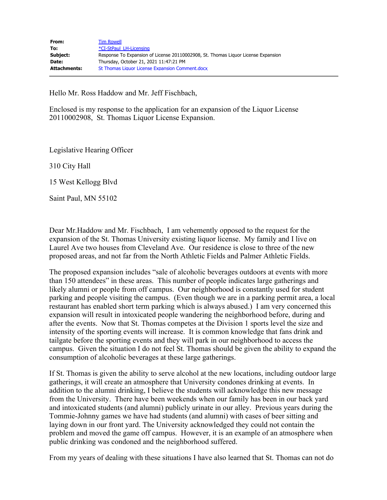Hello Mr. Ross Haddow and Mr. Jeff Fischbach,

Enclosed is my response to the application for an expansion of the Liquor License 20110002908, St. Thomas Liquor License Expansion.

Legislative Hearing Officer

310 City Hall

15 West Kellogg Blvd

Saint Paul, MN 55102

Dear Mr.Haddow and Mr. Fischbach, I am vehemently opposed to the request for the expansion of the St. Thomas University existing liquor license. My family and I live on Laurel Ave two houses from Cleveland Ave. Our residence is close to three of the new proposed areas, and not far from the North Athletic Fields and Palmer Athletic Fields.

The proposed expansion includes "sale of alcoholic beverages outdoors at events with more than 150 attendees" in these areas. This number of people indicates large gatherings and likely alumni or people from off campus. Our neighborhood is constantly used for student parking and people visiting the campus. (Even though we are in a parking permit area, a local restaurant has enabled short term parking which is always abused.) I am very concerned this expansion will result in intoxicated people wandering the neighborhood before, during and after the events. Now that St. Thomas competes at the Division 1 sports level the size and intensity of the sporting events will increase. It is common knowledge that fans drink and tailgate before the sporting events and they will park in our neighborhood to access the campus. Given the situation I do not feel St. Thomas should be given the ability to expand the consumption of alcoholic beverages at these large gatherings.

If St. Thomas is given the ability to serve alcohol at the new locations, including outdoor large gatherings, it will create an atmosphere that University condones drinking at events. In addition to the alumni drinking, I believe the students will acknowledge this new message from the University. There have been weekends when our family has been in our back yard and intoxicated students (and alumni) publicly urinate in our alley. Previous years during the Tommie-Johnny games we have had students (and alumni) with cases of beer sitting and laying down in our front yard. The University acknowledged they could not contain the problem and moved the game off campus. However, it is an example of an atmosphere when public drinking was condoned and the neighborhood suffered.

From my years of dealing with these situations I have also learned that St. Thomas can not do